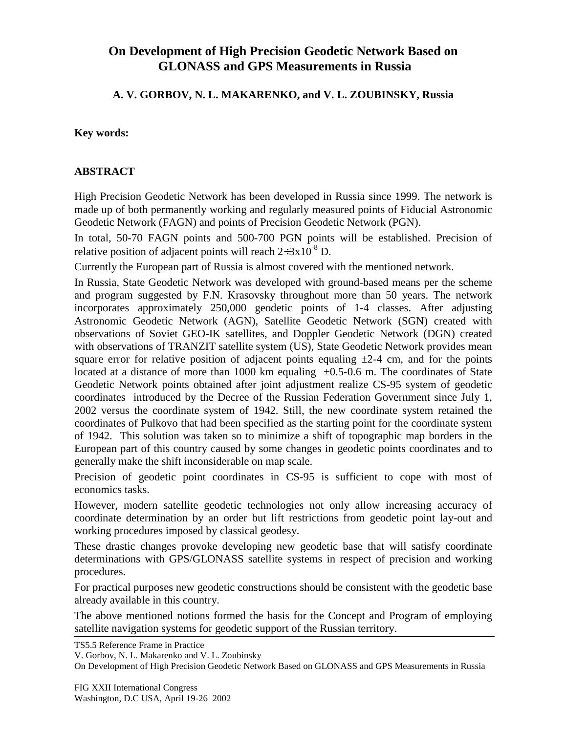# **On Development of High Precision Geodetic Network Based on GLONASS and GPS Measurements in Russia**

### **A. V. GORBOV, N. L. MAKARENKO, and V. L. ZOUBINSKY, Russia**

#### **Key words:**

#### **ABSTRACT**

High Precision Geodetic Network has been developed in Russia since 1999. The network is made up of both permanently working and regularly measured points of Fiducial Astronomic Geodetic Network (FAGN) and points of Precision Geodetic Network (PGN).

In total, 50-70 FAGN points and 500-700 PGN points will be established. Precision of relative position of adjacent points will reach  $2 \div 3 \times 10^{-8}$  D.

Currently the European part of Russia is almost covered with the mentioned network.

In Russia, State Geodetic Network was developed with ground-based means per the scheme and program suggested by F.N. Krasovsky throughout more than 50 years. The network incorporates approximately 250,000 geodetic points of 1-4 classes. After adjusting Astronomic Geodetic Network (AGN), Satellite Geodetic Network (SGN) created with observations of Soviet GEO-IK satellites, and Doppler Geodetic Network (DGN) created with observations of TRANZIT satellite system (US), State Geodetic Network provides mean square error for relative position of adjacent points equaling  $\pm 2-4$  cm, and for the points located at a distance of more than 1000 km equaling  $\pm 0.5$ -0.6 m. The coordinates of State Geodetic Network points obtained after joint adjustment realize CS-95 system of geodetic coordinates introduced by the Decree of the Russian Federation Government since July 1, 2002 versus the coordinate system of 1942. Still, the new coordinate system retained the coordinates of Pulkovo that had been specified as the starting point for the coordinate system of 1942. This solution was taken so to minimize a shift of topographic map borders in the European part of this country caused by some changes in geodetic points coordinates and to generally make the shift inconsiderable on map scale.

Precision of geodetic point coordinates in CS-95 is sufficient to cope with most of economics tasks.

However, modern satellite geodetic technologies not only allow increasing accuracy of coordinate determination by an order but lift restrictions from geodetic point lay-out and working procedures imposed by classical geodesy.

These drastic changes provoke developing new geodetic base that will satisfy coordinate determinations with GPS/GLONASS satellite systems in respect of precision and working procedures.

For practical purposes new geodetic constructions should be consistent with the geodetic base already available in this country.

The above mentioned notions formed the basis for the Concept and Program of employing satellite navigation systems for geodetic support of the Russian territory.

TS5.5 Reference Frame in Practice

V. Gorbov, N. L. Makarenko and V. L. Zoubinsky

On Development of High Precision Geodetic Network Based on GLONASS and GPS Measurements in Russia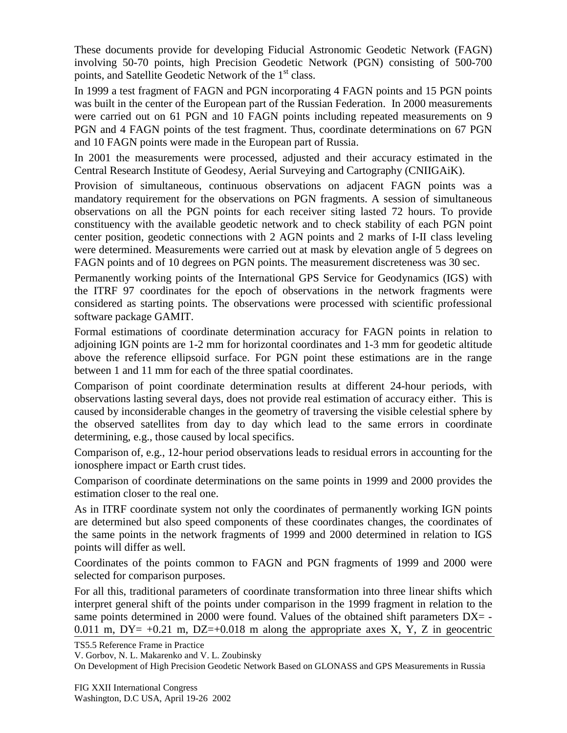These documents provide for developing Fiducial Astronomic Geodetic Network (FAGN) involving 50-70 points, high Precision Geodetic Network (PGN) consisting of 500-700 points, and Satellite Geodetic Network of the 1<sup>st</sup> class.

In 1999 a test fragment of FAGN and PGN incorporating 4 FAGN points and 15 PGN points was built in the center of the European part of the Russian Federation. In 2000 measurements were carried out on 61 PGN and 10 FAGN points including repeated measurements on 9 PGN and 4 FAGN points of the test fragment. Thus, coordinate determinations on 67 PGN and 10 FAGN points were made in the European part of Russia.

In 2001 the measurements were processed, adjusted and their accuracy estimated in the Central Research Institute of Geodesy, Aerial Surveying and Cartography (CNIIGAiK).

Provision of simultaneous, continuous observations on adjacent FAGN points was a mandatory requirement for the observations on PGN fragments. A session of simultaneous observations on all the PGN points for each receiver siting lasted 72 hours. To provide constituency with the available geodetic network and to check stability of each PGN point center position, geodetic connections with 2 AGN points and 2 marks of I-II class leveling were determined. Measurements were carried out at mask by elevation angle of 5 degrees on FAGN points and of 10 degrees on PGN points. The measurement discreteness was 30 sec.

Permanently working points of the International GPS Service for Geodynamics (IGS) with the ITRF 97 coordinates for the epoch of observations in the network fragments were considered as starting points. The observations were processed with scientific professional software package GAMIT.

Formal estimations of coordinate determination accuracy for FAGN points in relation to adjoining IGN points are 1-2 mm for horizontal coordinates and 1-3 mm for geodetic altitude above the reference ellipsoid surface. For PGN point these estimations are in the range between 1 and 11 mm for each of the three spatial coordinates.

Comparison of point coordinate determination results at different 24-hour periods, with observations lasting several days, does not provide real estimation of accuracy either. This is caused by inconsiderable changes in the geometry of traversing the visible celestial sphere by the observed satellites from day to day which lead to the same errors in coordinate determining, e.g., those caused by local specifics.

Comparison of, e.g., 12-hour period observations leads to residual errors in accounting for the ionosphere impact or Earth crust tides.

Comparison of coordinate determinations on the same points in 1999 and 2000 provides the estimation closer to the real one.

As in ITRF coordinate system not only the coordinates of permanently working IGN points are determined but also speed components of these coordinates changes, the coordinates of the same points in the network fragments of 1999 and 2000 determined in relation to IGS points will differ as well.

Coordinates of the points common to FAGN and PGN fragments of 1999 and 2000 were selected for comparison purposes.

For all this, traditional parameters of coordinate transformation into three linear shifts which interpret general shift of the points under comparison in the 1999 fragment in relation to the same points determined in 2000 were found. Values of the obtained shift parameters  $DX = -$ 0.011 m,  $DY = +0.21$  m,  $DZ = +0.018$  m along the appropriate axes X, Y, Z in geocentric

TS5.5 Reference Frame in Practice

V. Gorbov, N. L. Makarenko and V. L. Zoubinsky

On Development of High Precision Geodetic Network Based on GLONASS and GPS Measurements in Russia